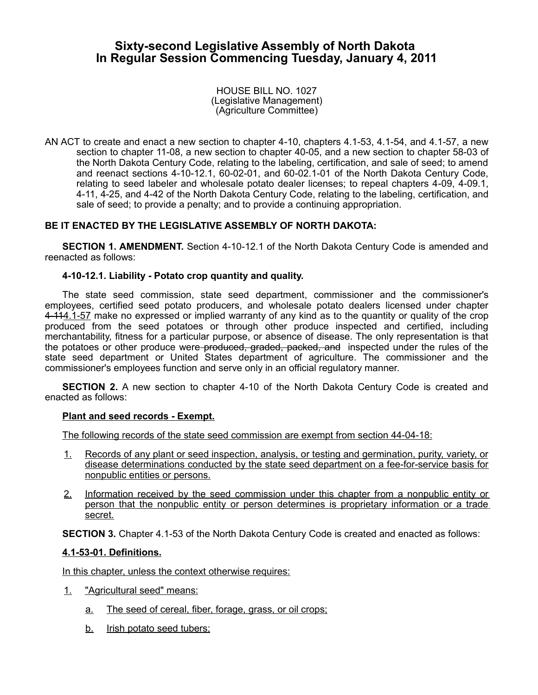# **Sixty-second Legislative Assembly of North Dakota In Regular Session Commencing Tuesday, January 4, 2011**

HOUSE BILL NO. 1027 (Legislative Management) (Agriculture Committee)

AN ACT to create and enact a new section to chapter 4-10, chapters 4.1-53, 4.1-54, and 4.1-57, a new section to chapter 11-08, a new section to chapter 40-05, and a new section to chapter 58-03 of the North Dakota Century Code, relating to the labeling, certification, and sale of seed; to amend and reenact sections 4-10-12.1, 60-02-01, and 60-02.1-01 of the North Dakota Century Code, relating to seed labeler and wholesale potato dealer licenses; to repeal chapters 4-09, 4-09.1, 4-11, 4-25, and 4-42 of the North Dakota Century Code, relating to the labeling, certification, and sale of seed; to provide a penalty; and to provide a continuing appropriation.

### **BE IT ENACTED BY THE LEGISLATIVE ASSEMBLY OF NORTH DAKOTA:**

**SECTION 1. AMENDMENT.** Section 4-10-12.1 of the North Dakota Century Code is amended and reenacted as follows:

#### **4-10-12.1. Liability - Potato crop quantity and quality.**

The state seed commission, state seed department, commissioner and the commissioner's employees, certified seed potato producers, and wholesale potato dealers licensed under chapter 4-114.1-57 make no expressed or implied warranty of any kind as to the quantity or quality of the crop produced from the seed potatoes or through other produce inspected and certified, including merchantability, fitness for a particular purpose, or absence of disease. The only representation is that the potatoes or other produce were produced, graded, packed, and inspected under the rules of the state seed department or United States department of agriculture. The commissioner and the commissioner's employees function and serve only in an official regulatory manner.

**SECTION 2.** A new section to chapter 4-10 of the North Dakota Century Code is created and enacted as follows:

#### **Plant and seed records - Exempt.**

The following records of the state seed commission are exempt from section 44-04-18:

- 1. Records of any plant or seed inspection, analysis, or testing and germination, purity, variety, or disease determinations conducted by the state seed department on a fee-for-service basis for nonpublic entities or persons.
- 2. Information received by the seed commission under this chapter from a nonpublic entity or person that the nonpublic entity or person determines is proprietary information or a trade secret.

**SECTION 3.** Chapter 4.1-53 of the North Dakota Century Code is created and enacted as follows:

#### **4.1 - 53 - 01. Definitions.**

In this chapter, unless the context otherwise requires:

- 1. "Agricultural seed" means:
	- a. The seed of cereal, fiber, forage, grass, or oil crops;
	- b. Irish potato seed tubers;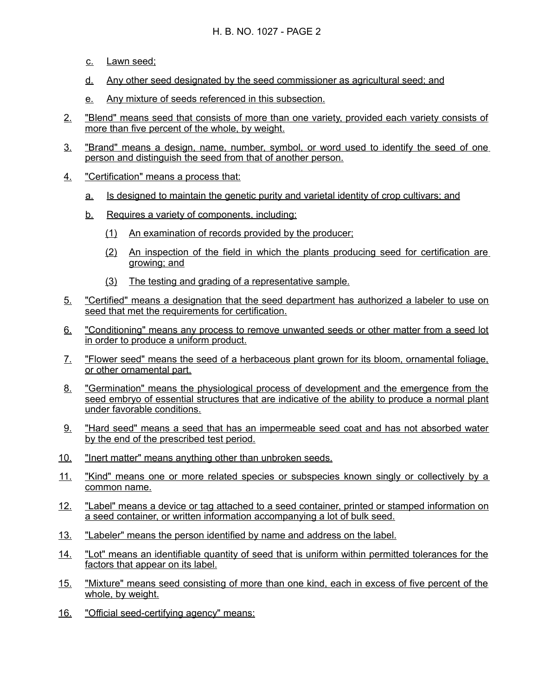- c. Lawn seed;
- d. Any other seed designated by the seed commissioner as agricultural seed; and
- e. Any mixture of seeds referenced in this subsection.
- 2. "Blend" means seed that consists of more than one variety, provided each variety consists of more than five percent of the whole, by weight.
- 3. "Brand" means a design, name, number, symbol, or word used to identify the seed of one person and distinguish the seed from that of another person.
- 4. "Certification" means a process that:
	- a. Is designed to maintain the genetic purity and varietal identity of crop cultivars; and
	- b. Requires a variety of components, including:
		- (1) An examination of records provided by the producer;
		- (2) An inspection of the field in which the plants producing seed for certification are growing; and
		- (3) The testing and grading of a representative sample.
- 5. "Certified" means a designation that the seed department has authorized a labeler to use on seed that met the requirements for certification.
- 6. "Conditioning" means any process to remove unwanted seeds or other matter from a seed lot in order to produce a uniform product.
- 7. "Flower seed" means the seed of a herbaceous plant grown for its bloom, ornamental foliage, or other ornamental part.
- 8. "Germination" means the physiological process of development and the emergence from the seed embryo of essential structures that are indicative of the ability to produce a normal plant under favorable conditions.
- 9. "Hard seed" means a seed that has an impermeable seed coat and has not absorbed water by the end of the prescribed test period.
- 10. "Inert matter" means anything other than unbroken seeds.
- 11. "Kind" means one or more related species or subspecies known singly or collectively by a common name.
- 12. "Label" means a device or tag attached to a seed container, printed or stamped information on a seed container, or written information accompanying a lot of bulk seed.
- 13. "Labeler" means the person identified by name and address on the label.
- 14. "Lot" means an identifiable quantity of seed that is uniform within permitted tolerances for the factors that appear on its label.
- 15. "Mixture" means seed consisting of more than one kind, each in excess of five percent of the whole, by weight.
- 16. "Official seed-certifying agency" means: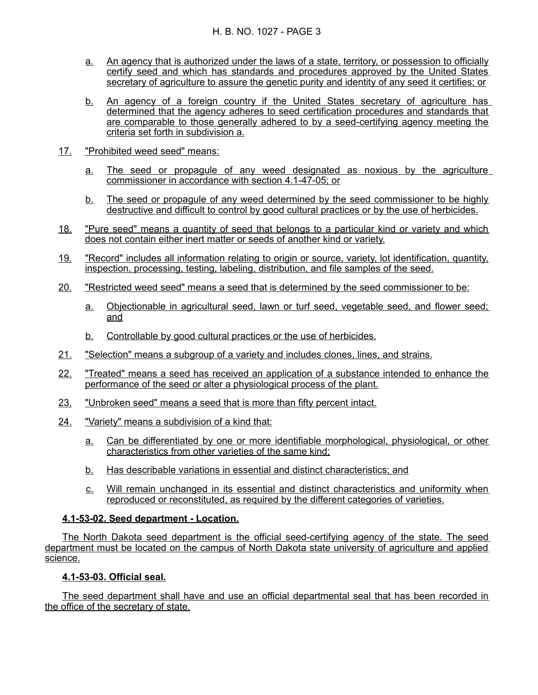- a. An agency that is authorized under the laws of a state, territory, or possession to officially certify seed and which has standards and procedures approved by the United States secretary of agriculture to assure the genetic purity and identity of any seed it certifies; or
- b. An agency of a foreign country if the United States secretary of agriculture has determined that the agency adheres to seed certification procedures and standards that are comparable to those generally adhered to by a seed - certifying agency meeting the criteria set forth in subdivision a.
- 17. "Prohibited weed seed" means:
	- a. The seed or propagule of any weed designated as noxious by the agriculture commissioner in accordance with section 4.1-47-05; or
	- b. The seed or propagule of any weed determined by the seed commissioner to be highly destructive and difficult to control by good cultural practices or by the use of herbicides.
- 18. "Pure seed" means a quantity of seed that belongs to a particular kind or variety and which does not contain either inert matter or seeds of another kind or variety.
- 19. "Record" includes all information relating to origin or source, variety, lot identification, quantity, inspection, processing, testing, labeling, distribution, and file samples of the seed.
- 20. "Restricted weed seed" means a seed that is determined by the seed commissioner to be:
	- a. Objectionable in agricultural seed, lawn or turf seed, vegetable seed, and flower seed; and
	- b. Controllable by good cultural practices or the use of herbicides.
- 21. "Selection" means a subgroup of a variety and includes clones, lines, and strains.
- 22. "Treated" means a seed has received an application of a substance intended to enhance the performance of the seed or alter a physiological process of the plant.
- 23. "Unbroken seed" means a seed that is more than fifty percent intact.
- 24. "Variety" means a subdivision of a kind that:
	- a. Can be differentiated by one or more identifiable morphological, physiological, or other characteristics from other varieties of the same kind;
	- b. Has describable variations in essential and distinct characteristics; and
	- c. Will remain unchanged in its essential and distinct characteristics and uniformity when reproduced or reconstituted, as required by the different categories of varieties.

### **4.1 - 53 - 02. Seed department - Location.**

 The North Dakota seed department is the official seed - certifying agency of the state. The seed department must be located on the campus of North Dakota state university of agriculture and applied science.

### **4.1 - 53 - 03. Official seal.**

The seed department shall have and use an official departmental seal that has been recorded in the office of the secretary of state.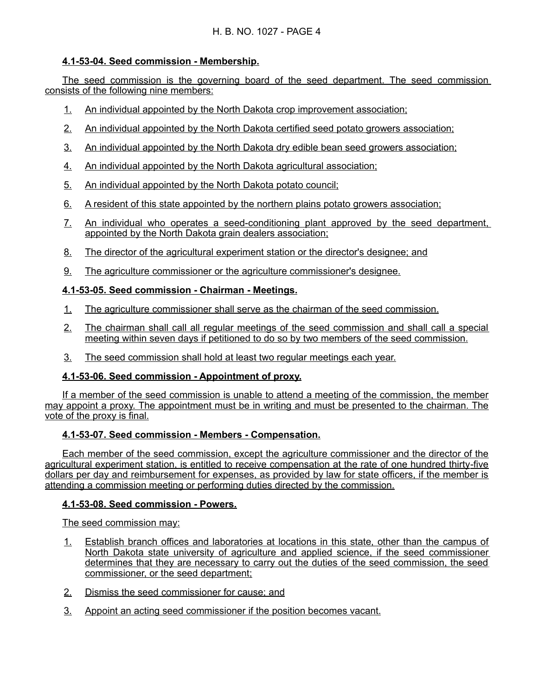## **4.1 - 53 - 04. Seed commission - Membership.**

The seed commission is the governing board of the seed department. The seed commission consists of the following nine members:

- 1. An individual appointed by the North Dakota crop improvement association;
- 2. An individual appointed by the North Dakota certified seed potato growers association;
- 3. An individual appointed by the North Dakota dry edible bean seed growers association;
- 4. An individual appointed by the North Dakota agricultural association;
- 5. An individual appointed by the North Dakota potato council;
- 6. A resident of this state appointed by the northern plains potato growers association;
- 7. An individual who operates a seed-conditioning plant approved by the seed department, appointed by the North Dakota grain dealers association;
- 8. The director of the agricultural experiment station or the director's designee; and
- 9. The agriculture commissioner or the agriculture commissioner's designee.

## **4.1 - 53 - 05. Seed commission - Chairman - Meetings.**

- 1. The agriculture commissioner shall serve as the chairman of the seed commission.
- 2. The chairman shall call all regular meetings of the seed commission and shall call a special meeting within seven days if petitioned to do so by two members of the seed commission.
- 3. The seed commission shall hold at least two regular meetings each year.

## **4.1-53-06. Seed commission - Appointment of proxy.**

If a member of the seed commission is unable to attend a meeting of the commission, the member may appoint a proxy. The appointment must be in writing and must be presented to the chairman. The vote of the proxy is final.

### **4.1 - 53 - 07. Seed commission - Members - Compensation.**

Each member of the seed commission, except the agriculture commissioner and the director of the agricultural experiment station, is entitled to receive compensation at the rate of one hundred thirty-five dollars per day and reimbursement for expenses, as provided by law for state officers, if the member is attending a commission meeting or performing duties directed by the commission.

### **4.1 - 53 - 08. Seed commission - Powers.**

The seed commission may:

- 1. Establish branch offices and laboratories at locations in this state, other than the campus of North Dakota state university of agriculture and applied science, if the seed commissioner determines that they are necessary to carry out the duties of the seed commission, the seed commissioner, or the seed department;
- 2. Dismiss the seed commissioner for cause; and
- 3. Appoint an acting seed commissioner if the position becomes vacant.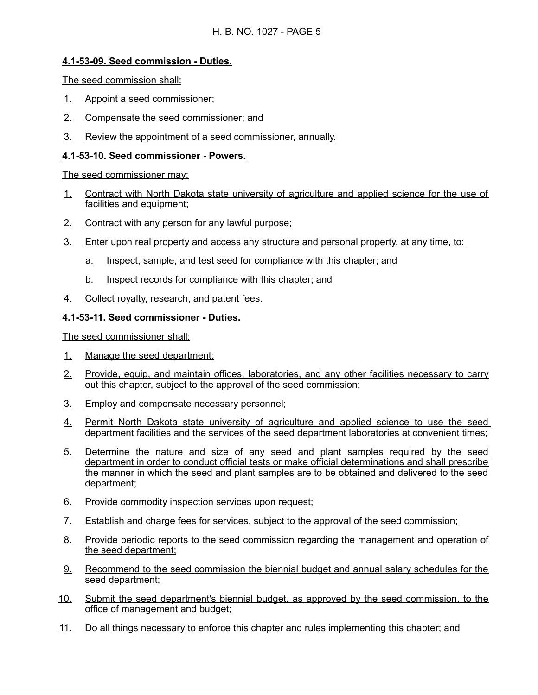## **4.1 - 53 - 09. Seed commission - Duties.**

The seed commission shall:

- 1. Appoint a seed commissioner;
- 2. Compensate the seed commissioner; and
- 3. Review the appointment of a seed commissioner, annually.

### **4.1 - 53 - 10. Seed commissioner - Powers.**

The seed commissioner may:

- 1. Contract with North Dakota state university of agriculture and applied science for the use of facilities and equipment:
- 2. Contract with any person for any lawful purpose;
- 3. Enter upon real property and access any structure and personal property, at any time, to:
	- a. Inspect, sample, and test seed for compliance with this chapter; and
	- b. Inspect records for compliance with this chapter; and
- 4. Collect royalty, research, and patent fees.

## **4.1 - 53 - 11. Seed commissioner - Duties.**

The seed commissioner shall:

- 1. Manage the seed department;
- 2. Provide, equip, and maintain offices, laboratories, and any other facilities necessary to carry out this chapter, subject to the approval of the seed commission;
- 3. Employ and compensate necessary personnel;
- 4. Permit North Dakota state university of agriculture and applied science to use the seed department facilities and the services of the seed department laboratories at convenient times;
- 5. Determine the nature and size of any seed and plant samples required by the seed department in order to conduct official tests or make official determinations and shall prescribe the manner in which the seed and plant samples are to be obtained and delivered to the seed department;
- 6. Provide commodity inspection services upon request;
- 7. Establish and charge fees for services, subject to the approval of the seed commission;
- 8. Provide periodic reports to the seed commission regarding the management and operation of the seed department;
- 9. Recommend to the seed commission the biennial budget and annual salary schedules for the seed department;
- 10. Submit the seed department's biennial budget, as approved by the seed commission, to the office of management and budget;
- 11. Do all things necessary to enforce this chapter and rules implementing this chapter; and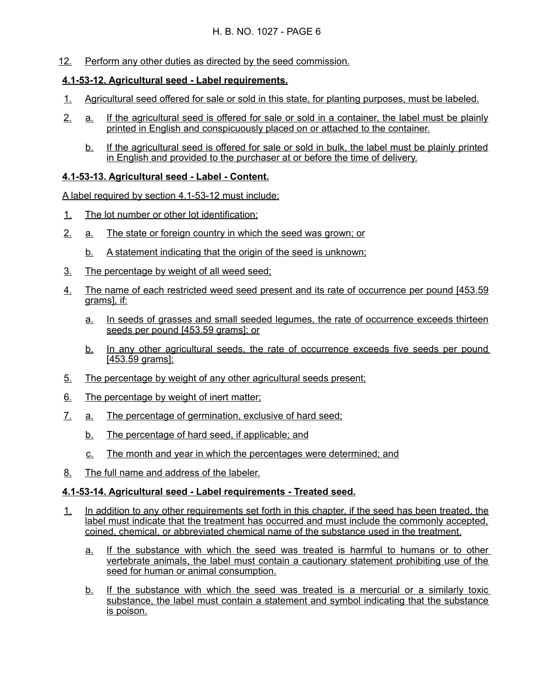12. Perform any other duties as directed by the seed commission.

## **4.1 - 53 - 12. Agricultural seed - Label requirements.**

- 1. Agricultural seed offered for sale or sold in this state, for planting purposes, must be labeled.
- 2. a. If the agricultural seed is offered for sale or sold in a container, the label must be plainly printed in English and conspicuously placed on or attached to the container.
	- b. If the agricultural seed is offered for sale or sold in bulk, the label must be plainly printed in English and provided to the purchaser at or before the time of delivery.

## **4.1 - 53 - 13. Agricultural seed - Label - Content.**

A label required by section 4.1-53-12 must include:

- 1. The lot number or other lot identification;
- 2. a. The state or foreign country in which the seed was grown; or
	- b. A statement indicating that the origin of the seed is unknown;
- 3. The percentage by weight of all weed seed;
- 4. The name of each restricted weed seed present and its rate of occurrence per pound [453.59 grams], if:
	- a. In seeds of grasses and small seeded legumes, the rate of occurrence exceeds thirteen seeds per pound [453.59 grams]; or
	- b. In any other agricultural seeds, the rate of occurrence exceeds five seeds per pound [453.59 grams];
- 5. The percentage by weight of any other agricultural seeds present;
- 6. The percentage by weight of inert matter;
- 7. a. The percentage of germination, exclusive of hard seed;
	- b. The percentage of hard seed, if applicable; and
	- c. The month and year in which the percentages were determined; and
- 8. The full name and address of the labeler.

## **4.1 - 53 - 14. Agricultural seed - Label requirements - Treated seed.**

- 1. In addition to any other requirements set forth in this chapter, if the seed has been treated, the label must indicate that the treatment has occurred and must include the commonly accepted, coined, chemical, or abbreviated chemical name of the substance used in the treatment.
	- a. If the substance with which the seed was treated is harmful to humans or to other vertebrate animals, the label must contain a cautionary statement prohibiting use of the seed for human or animal consumption.
	- b. If the substance with which the seed was treated is a mercurial or a similarly toxic substance, the label must contain a statement and symbol indicating that the substance is poison.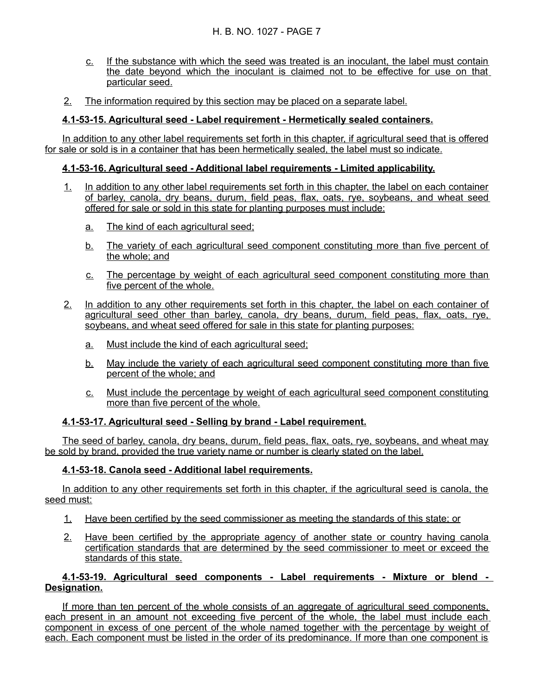- c. If the substance with which the seed was treated is an inoculant, the label must contain the date beyond which the inoculant is claimed not to be effective for use on that particular seed.
- 2. The information required by this section may be placed on a separate label.

## **4.1 - 53 - 15. Agricultural seed - Label requirement - Hermetically sealed containers.**

In addition to any other label requirements set forth in this chapter, if agricultural seed that is offered for sale or sold is in a container that has been hermetically sealed, the label must so indicate.

### **4.1 - 53 - 16. Agricultural seed - Additional label requirements - Limited applicability.**

- 1. In addition to any other label requirements set forth in this chapter, the label on each container of barley, canola, dry beans, durum, field peas, flax, oats, rye, soybeans, and wheat seed offered for sale or sold in this state for planting purposes must include:
	- a. The kind of each agricultural seed;
	- b. The variety of each agricultural seed component constituting more than five percent of the whole; and
	- c. The percentage by weight of each agricultural seed component constituting more than five percent of the whole.
- 2. In addition to any other requirements set forth in this chapter, the label on each container of agricultural seed other than barley, canola, dry beans, durum, field peas, flax, oats, rye, soybeans, and wheat seed offered for sale in this state for planting purposes:
	- a. Must include the kind of each agricultural seed;
	- b. May include the variety of each agricultural seed component constituting more than five percent of the whole; and
	- c. Must include the percentage by weight of each agricultural seed component constituting more than five percent of the whole.

## **4.1 - 53 - 17. Agricultural seed - Selling by brand - Label requirement.**

The seed of barley, canola, dry beans, durum, field peas, flax, oats, rye, soybeans, and wheat may be sold by brand, provided the true variety name or number is clearly stated on the label.

## **4.1 - 53 - 18. Canola seed - Additional label requirements.**

In addition to any other requirements set forth in this chapter, if the agricultural seed is canola, the seed must:

- 1. Have been certified by the seed commissioner as meeting the standards of this state; or
- 2. Have been certified by the appropriate agency of another state or country having canola certification standards that are determined by the seed commissioner to meet or exceed the standards of this state.

### **4.1 - 53 - 19. Agricultural seed components - Label requirements - Mixture or blend - Designation.**

If more than ten percent of the whole consists of an aggregate of agricultural seed components, each present in an amount not exceeding five percent of the whole, the label must include each component in excess of one percent of the whole named together with the percentage by weight of each. Each component must be listed in the order of its predominance. If more than one component is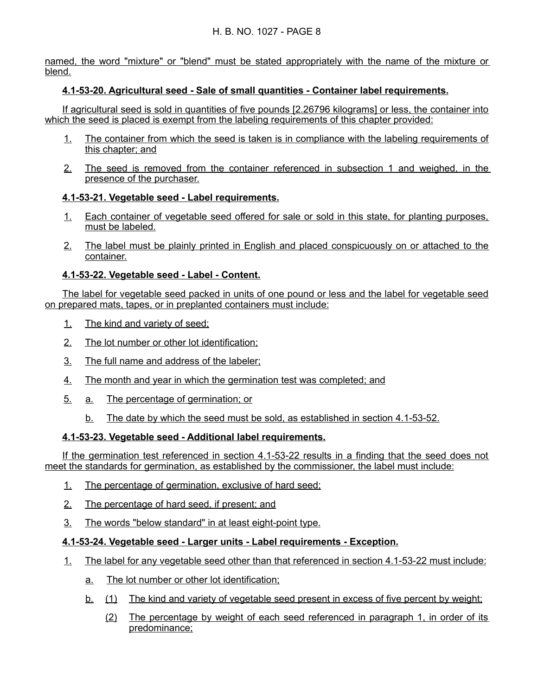named, the word "mixture" or "blend" must be stated appropriately with the name of the mixture or blend.

## **4.1 - 53 - 20. Agricultural seed - Sale of small quantities - Container label requirements.**

If agricultural seed is sold in quantities of five pounds [2.26796 kilograms] or less, the container into which the seed is placed is exempt from the labeling requirements of this chapter provided:

- 1. The container from which the seed is taken is in compliance with the labeling requirements of this chapter; and
- 2. The seed is removed from the container referenced in subsection 1 and weighed, in the presence of the purchaser.

## **4.1 - 53 - 21. Vegetable seed - Label requirements.**

- 1. Each container of vegetable seed offered for sale or sold in this state, for planting purposes, must be labeled.
- 2. The label must be plainly printed in English and placed conspicuously on or attached to the container.

## **4.1 - 53 - 22. Vegetable seed - Label - Content.**

The label for vegetable seed packed in units of one pound or less and the label for vegetable seed on prepared mats, tapes, or in preplanted containers must include:

- 1. The kind and variety of seed;
- 2. The lot number or other lot identification;
- 3. The full name and address of the labeler;
- 4. The month and year in which the germination test was completed; and
- 5. a. The percentage of germination; or
	- b. The date by which the seed must be sold, as established in section 4.1-53-52.

## **4.1-53-23. Vegetable seed - Additional label requirements.**

If the germination test referenced in section 4.1-53-22 results in a finding that the seed does not meet the standards for germination, as established by the commissioner, the label must include:

- 1. The percentage of germination, exclusive of hard seed;
- 2. The percentage of hard seed, if present; and
- 3. The words "below standard" in at least eight-point type.

## **4.1 - 53 - 24. Vegetable seed - Larger units - Label requirements - Exception.**

- 1. The label for any vegetable seed other than that referenced in section 4.1-53-22 must include:
	- a. The lot number or other lot identification;
	- b. (1) The kind and variety of vegetable seed present in excess of five percent by weight;
		- (2) The percentage by weight of each seed referenced in paragraph 1, in order of its predominance;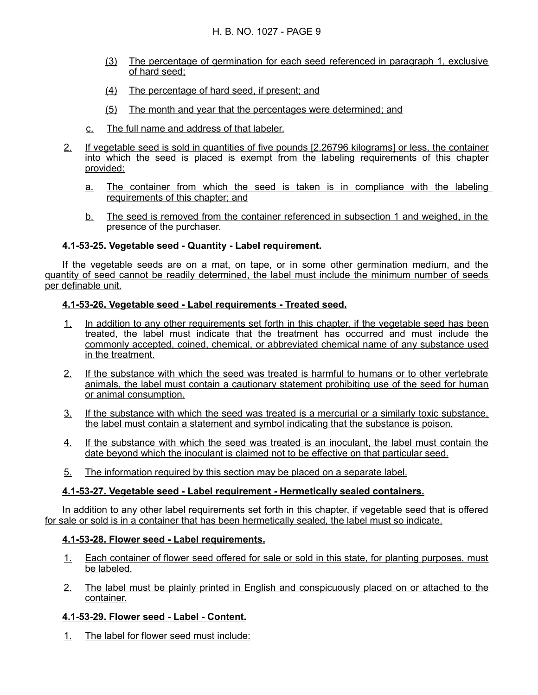- (3) The percentage of germination for each seed referenced in paragraph 1, exclusive of hard seed;
- (4) The percentage of hard seed, if present; and
- (5) The month and year that the percentages were determined; and
- c. The full name and address of that labeler.
- 2. If vegetable seed is sold in quantities of five pounds [2.26796 kilograms] or less, the container into which the seed is placed is exempt from the labeling requirements of this chapter provided:
	- a. The container from which the seed is taken is in compliance with the labeling requirements of this chapter; and
	- b. The seed is removed from the container referenced in subsection 1 and weighed, in the presence of the purchaser.

### **4.1 - 53 - 25. Vegetable seed - Quantity - Label requirement.**

If the vegetable seeds are on a mat, on tape, or in some other germination medium, and the quantity of seed cannot be readily determined, the label must include the minimum number of seeds per definable unit.

### **4.1 - 53 - 26. Vegetable seed - Label requirements - Treated seed.**

- 1. In addition to any other requirements set forth in this chapter, if the vegetable seed has been treated, the label must indicate that the treatment has occurred and must include the commonly accepted, coined, chemical, or abbreviated chemical name of any substance used in the treatment.
- 2. If the substance with which the seed was treated is harmful to humans or to other vertebrate animals, the label must contain a cautionary statement prohibiting use of the seed for human or animal consumption.
- 3. If the substance with which the seed was treated is a mercurial or a similarly toxic substance, the label must contain a statement and symbol indicating that the substance is poison.
- 4. If the substance with which the seed was treated is an inoculant, the label must contain the date beyond which the inoculant is claimed not to be effective on that particular seed.
- 5. The information required by this section may be placed on a separate label.

## **4.1 - 53 - 27. Vegetable seed - Label requirement - Hermetically sealed containers.**

In addition to any other label requirements set forth in this chapter, if vegetable seed that is offered for sale or sold is in a container that has been hermetically sealed, the label must so indicate.

### **4.1 - 53 - 28. Flower seed - Label requirements.**

- 1. Each container of flower seed offered for sale or sold in this state, for planting purposes, must be labeled.
- 2. The label must be plainly printed in English and conspicuously placed on or attached to the container.

### **4.1 - 53 - 29. Flower seed - Label - Content.**

1. The label for flower seed must include: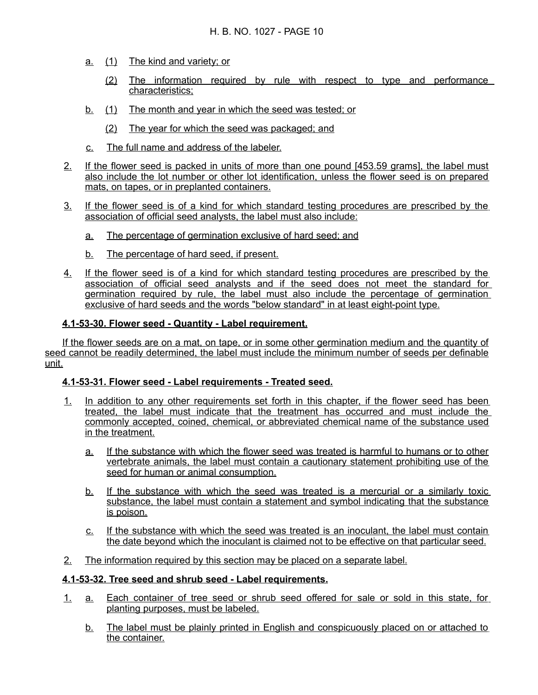- a. (1) The kind and variety; or
	- (2) The information required by rule with respect to type and performance characteristics;
- b. (1) The month and year in which the seed was tested; or
	- (2) The year for which the seed was packaged; and
- c. The full name and address of the labeler.
- 2. If the flower seed is packed in units of more than one pound [453.59 grams], the label must also include the lot number or other lot identification, unless the flower seed is on prepared mats, on tapes, or in preplanted containers.
- 3. If the flower seed is of a kind for which standard testing procedures are prescribed by the association of official seed analysts, the label must also include:
	- a. The percentage of germination exclusive of hard seed; and
	- b. The percentage of hard seed, if present.
- 4. If the flower seed is of a kind for which standard testing procedures are prescribed by the association of official seed analysts and if the seed does not meet the standard for germination required by rule, the label must also include the percentage of germination exclusive of hard seeds and the words "below standard" in at least eight-point type.

### **4.1 - 53 - 30. Flower seed - Quantity - Label requirement.**

 If the flower seeds are on a mat, on tape, or in some other germination medium and the quantity of seed cannot be readily determined, the label must include the minimum number of seeds per definable unit.

#### **4.1 - 53 - 31. Flower seed - Label requirements - Treated seed.**

- 1. In addition to any other requirements set forth in this chapter, if the flower seed has been treated, the label must indicate that the treatment has occurred and must include the commonly accepted, coined, chemical, or abbreviated chemical name of the substance used in the treatment.
	- a. If the substance with which the flower seed was treated is harmful to humans or to other vertebrate animals, the label must contain a cautionary statement prohibiting use of the seed for human or animal consumption.
	- b. If the substance with which the seed was treated is a mercurial or a similarly toxic substance, the label must contain a statement and symbol indicating that the substance is poison.
	- c. If the substance with which the seed was treated is an inoculant, the label must contain the date beyond which the inoculant is claimed not to be effective on that particular seed.
- 2. The information required by this section may be placed on a separate label.

#### **4.1 - 53 - 32. Tree seed and shrub seed - Label requirements.**

- 1. a. Each container of tree seed or shrub seed offered for sale or sold in this state, for planting purposes, must be labeled.
	- b. The label must be plainly printed in English and conspicuously placed on or attached to the container.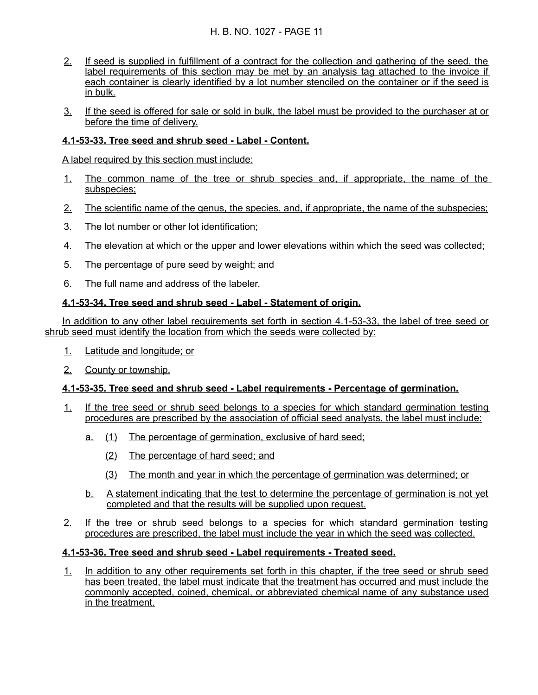## H. B. NO. 1027 - PAGE 11

- 2. If seed is supplied in fulfillment of a contract for the collection and gathering of the seed, the label requirements of this section may be met by an analysis tag attached to the invoice if each container is clearly identified by a lot number stenciled on the container or if the seed is in bulk.
- 3. If the seed is offered for sale or sold in bulk, the label must be provided to the purchaser at or before the time of delivery.

## **4.1 - 53 - 33. Tree seed and shrub seed - Label - Content.**

A label required by this section must include:

- 1. The common name of the tree or shrub species and, if appropriate, the name of the subspecies;
- 2. The scientific name of the genus, the species, and, if appropriate, the name of the subspecies;
- 3. The lot number or other lot identification;
- 4. The elevation at which or the upper and lower elevations within which the seed was collected;
- 5. The percentage of pure seed by weight; and
- 6. The full name and address of the labeler.

### **4.1 - 53 - 34. Tree seed and shrub seed - Label - Statement of origin.**

In addition to any other label requirements set forth in section 4.1-53-33, the label of tree seed or shrub seed must identify the location from which the seeds were collected by:

- 1. Latitude and longitude; or
- 2. County or township.

### **4.1 - 53 - 35. Tree seed and shrub seed - Label requirements - Percentage of germination.**

- 1. If the tree seed or shrub seed belongs to a species for which standard germination testing procedures are prescribed by the association of official seed analysts, the label must include:
	- a. (1) The percentage of germination, exclusive of hard seed;
		- (2) The percentage of hard seed; and
		- (3) The month and year in which the percentage of germination was determined; or
	- b. A statement indicating that the test to determine the percentage of germination is not yet completed and that the results will be supplied upon request.
- 2. If the tree or shrub seed belongs to a species for which standard germination testing procedures are prescribed, the label must include the year in which the seed was collected.

#### **4.1 - 53 - 36. Tree seed and shrub seed - Label requirements - Treated seed.**

1. In addition to any other requirements set forth in this chapter, if the tree seed or shrub seed has been treated, the label must indicate that the treatment has occurred and must include the commonly accepted, coined, chemical, or abbreviated chemical name of any substance used in the treatment.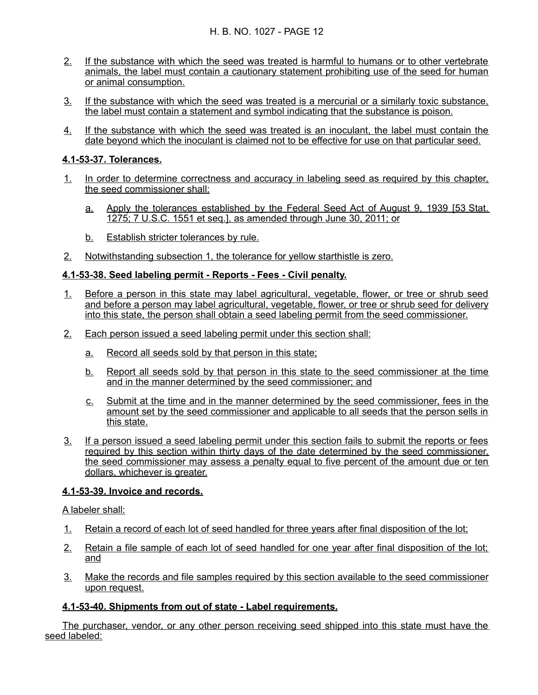- 2. If the substance with which the seed was treated is harmful to humans or to other vertebrate animals, the label must contain a cautionary statement prohibiting use of the seed for human or animal consumption.
- 3. If the substance with which the seed was treated is a mercurial or a similarly toxic substance, the label must contain a statement and symbol indicating that the substance is poison.
- 4. If the substance with which the seed was treated is an inoculant, the label must contain the date beyond which the inoculant is claimed not to be effective for use on that particular seed.

### **4.1 - 53 - 37. Tolerances.**

- 1. In order to determine correctness and accuracy in labeling seed as required by this chapter, the seed commissioner shall:
	- a. Apply the tolerances established by the Federal Seed Act of August 9, 1939 [53 Stat. 1275; 7 U.S.C. 1551 et seq.], as amended through June 30, 2011; or
	- b. Establish stricter tolerances by rule.
- 2. Notwithstanding subsection 1, the tolerance for yellow starthistle is zero.

### **4.1 - 53 - 38. Seed labeling permit - Reports - Fees - Civil penalty.**

- 1. Before a person in this state may label agricultural, vegetable, flower, or tree or shrub seed and before a person may label agricultural, vegetable, flower, or tree or shrub seed for delivery into this state, the person shall obtain a seed labeling permit from the seed commissioner.
- 2. Each person issued a seed labeling permit under this section shall:
	- a. Record all seeds sold by that person in this state;
	- b. Report all seeds sold by that person in this state to the seed commissioner at the time and in the manner determined by the seed commissioner; and
	- c. Submit at the time and in the manner determined by the seed commissioner, fees in the amount set by the seed commissioner and applicable to all seeds that the person sells in this state.
- 3. If a person issued a seed labeling permit under this section fails to submit the reports or fees required by this section within thirty days of the date determined by the seed commissioner, the seed commissioner may assess a penalty equal to five percent of the amount due or ten dollars, whichever is greater.

### **4.1 - 53 - 39. Invoice and records.**

A labeler shall:

- 1. Retain a record of each lot of seed handled for three years after final disposition of the lot;
- 2. Retain a file sample of each lot of seed handled for one year after final disposition of the lot; and
- 3. Make the records and file samples required by this section available to the seed commissioner upon request.

### **4.1-53-40. Shipments from out of state - Label requirements.**

The purchaser, vendor, or any other person receiving seed shipped into this state must have the seed labeled: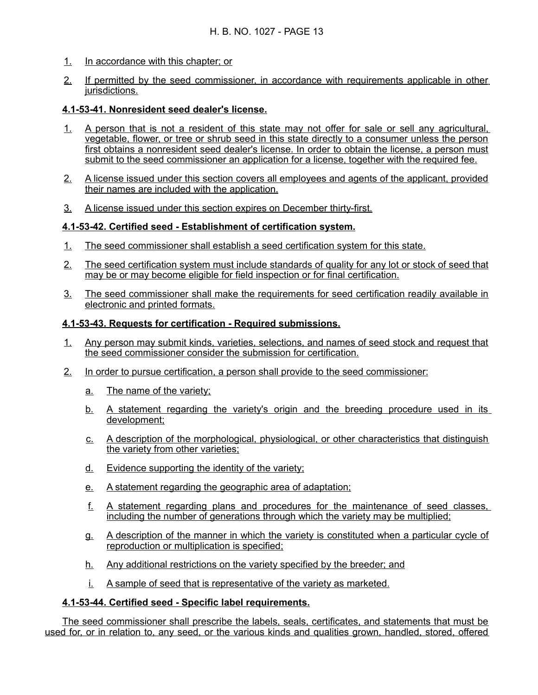- 1. In accordance with this chapter; or
- 2. If permitted by the seed commissioner, in accordance with requirements applicable in other jurisdictions.

#### **4.1 - 53 - 41. Nonresident seed dealer's license.**

- 1. A person that is not a resident of this state may not offer for sale or sell any agricultural, vegetable, flower, or tree or shrub seed in this state directly to a consumer unless the person first obtains a nonresident seed dealer's license. In order to obtain the license, a person must submit to the seed commissioner an application for a license, together with the required fee.
- 2. A license issued under this section covers all employees and agents of the applicant, provided their names are included with the application.
- 3. A license issued under this section expires on December thirty-first.

### **4.1-53-42. Certified seed - Establishment of certification system.**

- 1. The seed commissioner shall establish a seed certification system for this state.
- 2. The seed certification system must include standards of quality for any lot or stock of seed that may be or may become eligible for field inspection or for final certification.
- 3. The seed commissioner shall make the requirements for seed certification readily available in electronic and printed formats.

#### **4.1 - 53 - 43. Requests for certification - Required submissions.**

- 1. Any person may submit kinds, varieties, selections, and names of seed stock and request that the seed commissioner consider the submission for certification.
- 2. In order to pursue certification, a person shall provide to the seed commissioner:
	- a. The name of the variety;
	- b. A statement regarding the variety's origin and the breeding procedure used in its development;
	- c. A description of the morphological, physiological, or other characteristics that distinguish the variety from other varieties;
	- d. Evidence supporting the identity of the variety;
	- e. A statement regarding the geographic area of adaptation;
	- f. A statement regarding plans and procedures for the maintenance of seed classes, including the number of generations through which the variety may be multiplied;
	- g. A description of the manner in which the variety is constituted when a particular cycle of reproduction or multiplication is specified;
	- h. Any additional restrictions on the variety specified by the breeder; and
	- i. A sample of seed that is representative of the variety as marketed.

### **4.1-53-44. Certified seed - Specific label requirements.**

The seed commissioner shall prescribe the labels, seals, certificates, and statements that must be used for, or in relation to, any seed, or the various kinds and qualities grown, handled, stored, offered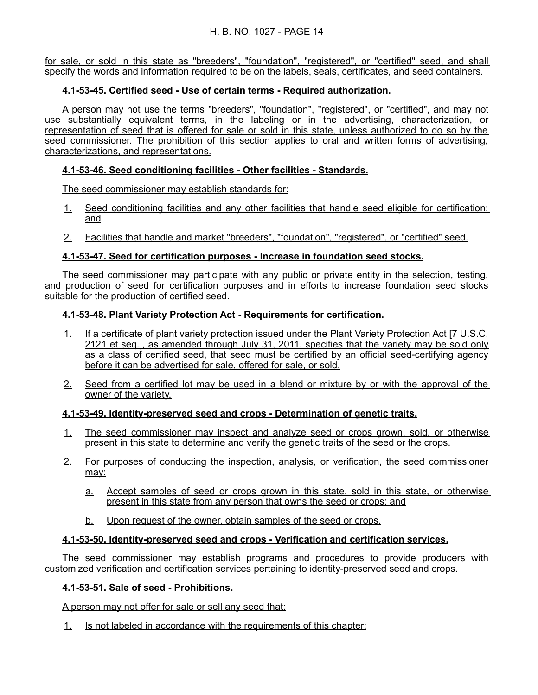for sale, or sold in this state as "breeders", "foundation", "registered", or "certified" seed, and shall specify the words and information required to be on the labels, seals, certificates, and seed containers.

## **4.1-53-45. Certified seed - Use of certain terms - Required authorization.**

A person may not use the terms "breeders", "foundation", "registered", or "certified", and may not use substantially equivalent terms, in the labeling or in the advertising, characterization, or representation of seed that is offered for sale or sold in this state, unless authorized to do so by the seed commissioner. The prohibition of this section applies to oral and written forms of advertising, characterizations, and representations.

### **4.1 - 53 - 46. Seed conditioning facilities - Other facilities - Standards.**

The seed commissioner may establish standards for:

- 1. Seed conditioning facilities and any other facilities that handle seed eligible for certification; and
- 2. Facilities that handle and market "breeders", "foundation", "registered", or "certified" seed.

### **4.1 - 53 - 47. Seed for certification purposes - Increase in foundation seed stocks.**

The seed commissioner may participate with any public or private entity in the selection, testing, and production of seed for certification purposes and in efforts to increase foundation seed stocks suitable for the production of certified seed.

### **4.1 - 53 - 48. Plant Variety Protection Act - Requirements for certification.**

- 1. If a certificate of plant variety protection issued under the Plant Variety Protection Act [7 U.S.C. 2121 et seq.], as amended through July 31, 2011, specifies that the variety may be sold only as a class of certified seed, that seed must be certified by an official seed-certifying agency before it can be advertised for sale, offered for sale, or sold.
- 2. Seed from a certified lot may be used in a blend or mixture by or with the approval of the owner of the variety.

### **4.1 - 53 - 49. Identity - preserved seed and crops - Determination of genetic traits.**

- 1. The seed commissioner may inspect and analyze seed or crops grown, sold, or otherwise present in this state to determine and verify the genetic traits of the seed or the crops.
- 2. For purposes of conducting the inspection, analysis, or verification, the seed commissioner may:
	- a. Accept samples of seed or crops grown in this state, sold in this state, or otherwise present in this state from any person that owns the seed or crops; and
	- b. Upon request of the owner, obtain samples of the seed or crops.

### **4.1 - 53 - 50. Identity - preserved seed and crops - Verification and certification services.**

The seed commissioner may establish programs and procedures to provide producers with customized verification and certification services pertaining to identity-preserved seed and crops.

#### **4.1 - 53 - 51. Sale of seed - Prohibitions.**

A person may not offer for sale or sell any seed that:

1. Is not labeled in accordance with the requirements of this chapter;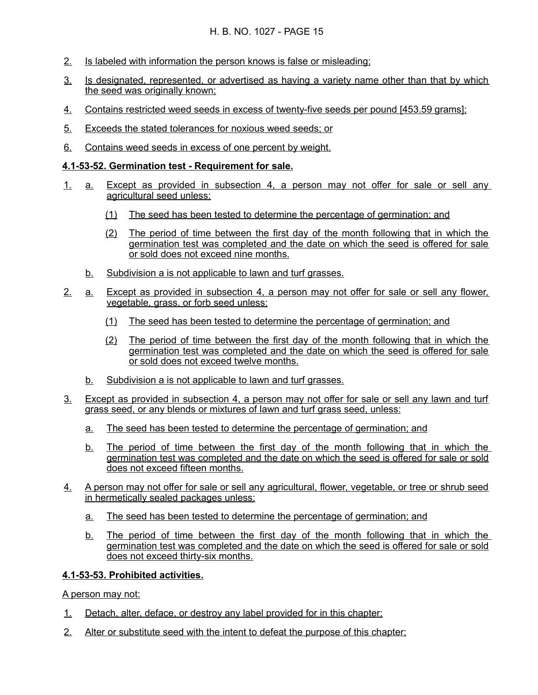- 2. Is labeled with information the person knows is false or misleading;
- 3. Is designated, represented, or advertised as having a variety name other than that by which the seed was originally known;
- 4. Contains restricted weed seeds in excess of twenty-five seeds per pound [453.59 grams];
- 5. Exceeds the stated tolerances for noxious weed seeds; or
- 6. Contains weed seeds in excess of one percent by weight.

### **4.1 - 53 - 52. Germination test - Requirement for sale.**

- 1. a. Except as provided in subsection 4, a person may not offer for sale or sell any agricultural seed unless:
	- (1) The seed has been tested to determine the percentage of germination; and
	- (2) The period of time between the first day of the month following that in which the germination test was completed and the date on which the seed is offered for sale or sold does not exceed nine months.
	- b. Subdivision a is not applicable to lawn and turf grasses.
- 2. a. Except as provided in subsection 4, a person may not offer for sale or sell any flower, vegetable, grass, or forb seed unless:
	- (1) The seed has been tested to determine the percentage of germination; and
	- (2) The period of time between the first day of the month following that in which the germination test was completed and the date on which the seed is offered for sale or sold does not exceed twelve months.
	- b. Subdivision a is not applicable to lawn and turf grasses.
- 3. Except as provided in subsection 4, a person may not offer for sale or sell any lawn and turf grass seed, or any blends or mixtures of lawn and turf grass seed, unless:
	- a. The seed has been tested to determine the percentage of germination; and
	- b. The period of time between the first day of the month following that in which the germination test was completed and the date on which the seed is offered for sale or sold does not exceed fifteen months.
- 4. A person may not offer for sale or sell any agricultural, flower, vegetable, or tree or shrub seed in hermetically sealed packages unless:
	- a. The seed has been tested to determine the percentage of germination; and
	- b. The period of time between the first day of the month following that in which the germination test was completed and the date on which the seed is offered for sale or sold does not exceed thirty-six months.

#### **4.1 - 53 - 53. Prohibited activities.**

A person may not:

- 1. Detach, alter, deface, or destroy any label provided for in this chapter;
- 2. Alter or substitute seed with the intent to defeat the purpose of this chapter;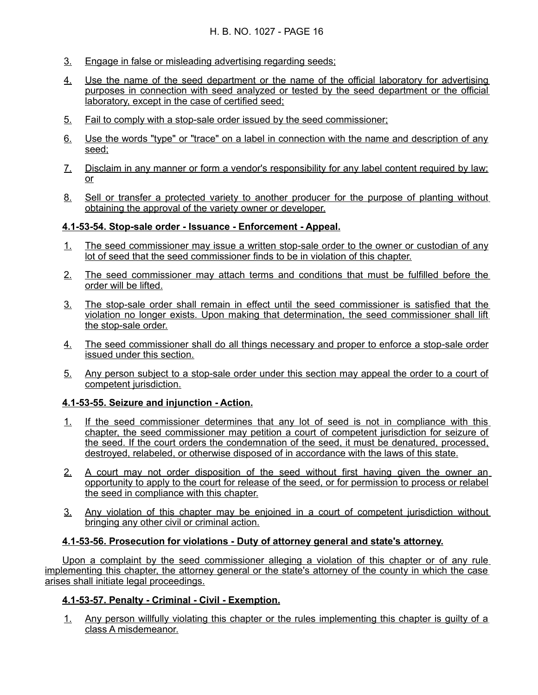- 3. Engage in false or misleading advertising regarding seeds;
- 4. Use the name of the seed department or the name of the official laboratory for advertising purposes in connection with seed analyzed or tested by the seed department or the official laboratory, except in the case of certified seed;
- 5. Fail to comply with a stop-sale order issued by the seed commissioner;
- 6. Use the words "type" or "trace" on a label in connection with the name and description of any seed;
- 7. Disclaim in any manner or form a vendor's responsibility for any label content required by law; or
- 8. Sell or transfer a protected variety to another producer for the purpose of planting without obtaining the approval of the variety owner or developer.

### **4.1 - 53 - 54. Stop - sale order - Issuance - Enforcement - Appeal.**

- 1. The seed commissioner may issue a written stop-sale order to the owner or custodian of any lot of seed that the seed commissioner finds to be in violation of this chapter.
- 2. The seed commissioner may attach terms and conditions that must be fulfilled before the order will be lifted.
- 3. The stop-sale order shall remain in effect until the seed commissioner is satisfied that the violation no longer exists. Upon making that determination, the seed commissioner shall lift the stop-sale order.
- 4. The seed commissioner shall do all things necessary and proper to enforce a stop-sale order issued under this section.
- 5. Any person subject to a stop-sale order under this section may appeal the order to a court of competent jurisdiction.

### **4.1 - 53 - 55. Seizure and injunction - Action.**

- 1. If the seed commissioner determines that any lot of seed is not in compliance with this chapter, the seed commissioner may petition a court of competent jurisdiction for seizure of the seed. If the court orders the condemnation of the seed, it must be denatured, processed, destroyed, relabeled, or otherwise disposed of in accordance with the laws of this state.
- 2. A court may not order disposition of the seed without first having given the owner an opportunity to apply to the court for release of the seed, or for permission to process or relabel the seed in compliance with this chapter.
- 3. Any violation of this chapter may be enjoined in a court of competent jurisdiction without bringing any other civil or criminal action.

### **4.1 - 53 - 56. Prosecution for violations - Duty of attorney general and state's attorney.**

Upon a complaint by the seed commissioner alleging a violation of this chapter or of any rule implementing this chapter, the attorney general or the state's attorney of the county in which the case arises shall initiate legal proceedings.

### **4.1 - 53 - 57. Penalty - Criminal - Civil - Exemption.**

1. Any person willfully violating this chapter or the rules implementing this chapter is guilty of a class A misdemeanor.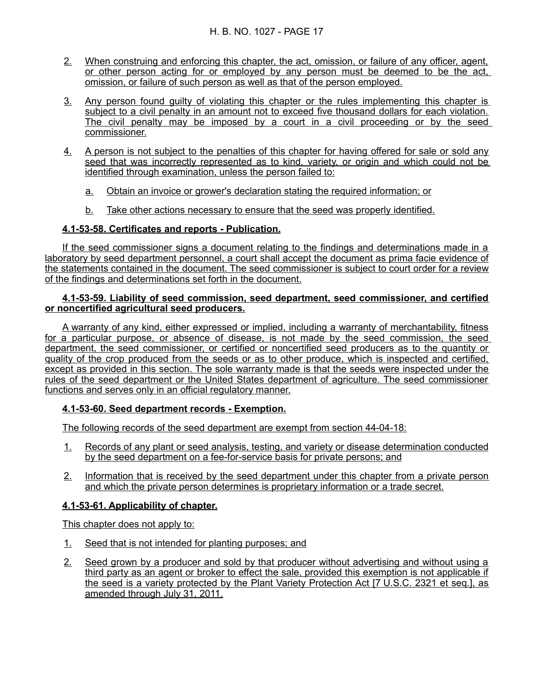- 2. When construing and enforcing this chapter, the act, omission, or failure of any officer, agent, or other person acting for or employed by any person must be deemed to be the act, omission, or failure of such person as well as that of the person employed.
- 3. Any person found guilty of violating this chapter or the rules implementing this chapter is subject to a civil penalty in an amount not to exceed five thousand dollars for each violation. The civil penalty may be imposed by a court in a civil proceeding or by the seed commissioner.
- 4. A person is not subject to the penalties of this chapter for having offered for sale or sold any seed that was incorrectly represented as to kind, variety, or origin and which could not be identified through examination, unless the person failed to:
	- a. Obtain an invoice or grower's declaration stating the required information; or
	- b. Take other actions necessary to ensure that the seed was properly identified.

### **4.1 - 53 - 58. Certificates and reports - Publication.**

If the seed commissioner signs a document relating to the findings and determinations made in a laboratory by seed department personnel, a court shall accept the document as prima facie evidence of the statements contained in the document. The seed commissioner is subject to court order for a review of the findings and determinations set forth in the document.

#### **4.1 - 53 - 59. Liability of seed commission, seed department, seed commissioner, and certified or noncertified agricultural seed producers.**

A warranty of any kind, either expressed or implied, including a warranty of merchantability, fitness for a particular purpose, or absence of disease, is not made by the seed commission, the seed department, the seed commissioner, or certified or noncertified seed producers as to the quantity or quality of the crop produced from the seeds or as to other produce, which is inspected and certified, except as provided in this section. The sole warranty made is that the seeds were inspected under the rules of the seed department or the United States department of agriculture. The seed commissioner functions and serves only in an official regulatory manner.

### **4.1 - 53 - 60. Seed department records - Exemption.**

The following records of the seed department are exempt from section 44-04-18:

- 1. Records of any plant or seed analysis, testing, and variety or disease determination conducted by the seed department on a fee - for - service basis for private persons; and
- 2. Information that is received by the seed department under this chapter from a private person and which the private person determines is proprietary information or a trade secret.

### **4.1 - 53 - 61. Applicability of chapter.**

This chapter does not apply to:

- 1. Seed that is not intended for planting purposes; and
- 2. Seed grown by a producer and sold by that producer without advertising and without using a third party as an agent or broker to effect the sale, provided this exemption is not applicable if the seed is a variety protected by the Plant Variety Protection Act [7 U.S.C. 2321 et seq.], as amended through July 31, 2011.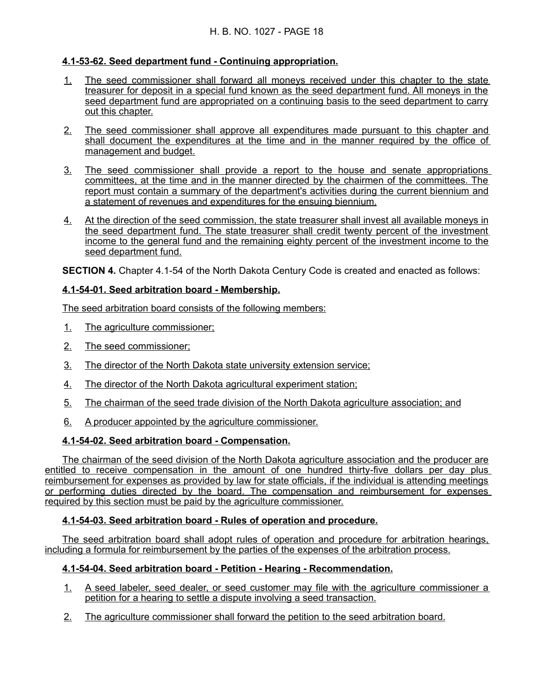## **4.1 - 53 - 62. Seed department fund - Continuing appropriation.**

- 1. The seed commissioner shall forward all moneys received under this chapter to the state treasurer for deposit in a special fund known as the seed department fund. All moneys in the seed department fund are appropriated on a continuing basis to the seed department to carry out this chapter.
- 2. The seed commissioner shall approve all expenditures made pursuant to this chapter and shall document the expenditures at the time and in the manner required by the office of management and budget.
- 3. The seed commissioner shall provide a report to the house and senate appropriations committees, at the time and in the manner directed by the chairmen of the committees. The report must contain a summary of the department's activities during the current biennium and a statement of revenues and expenditures for the ensuing biennium.
- 4. At the direction of the seed commission, the state treasurer shall invest all available moneys in the seed department fund. The state treasurer shall credit twenty percent of the investment income to the general fund and the remaining eighty percent of the investment income to the seed department fund.

**SECTION 4.** Chapter 4.1-54 of the North Dakota Century Code is created and enacted as follows:

## **4.1 - 54 - 01. Seed arbitration board - Membership.**

The seed arbitration board consists of the following members:

- 1. The agriculture commissioner;
- 2. The seed commissioner;
- 3. The director of the North Dakota state university extension service;
- 4. The director of the North Dakota agricultural experiment station;
- 5. The chairman of the seed trade division of the North Dakota agriculture association; and
- 6. A producer appointed by the agriculture commissioner.

## **4.1 - 54 - 02. Seed arbitration board - Compensation.**

The chairman of the seed division of the North Dakota agriculture association and the producer are entitled to receive compensation in the amount of one hundred thirty-five dollars per day plus reimbursement for expenses as provided by law for state officials, if the individual is attending meetings or performing duties directed by the board. The compensation and reimbursement for expenses required by this section must be paid by the agriculture commissioner.

### **4.1 - 54 - 03. Seed arbitration board - Rules of operation and procedure.**

The seed arbitration board shall adopt rules of operation and procedure for arbitration hearings, including a formula for reimbursement by the parties of the expenses of the arbitration process.

### **4.1 - 54 - 04. Seed arbitration board - Petition - Hearing - Recommendation.**

- 1. A seed labeler, seed dealer, or seed customer may file with the agriculture commissioner a petition for a hearing to settle a dispute involving a seed transaction.
- 2. The agriculture commissioner shall forward the petition to the seed arbitration board.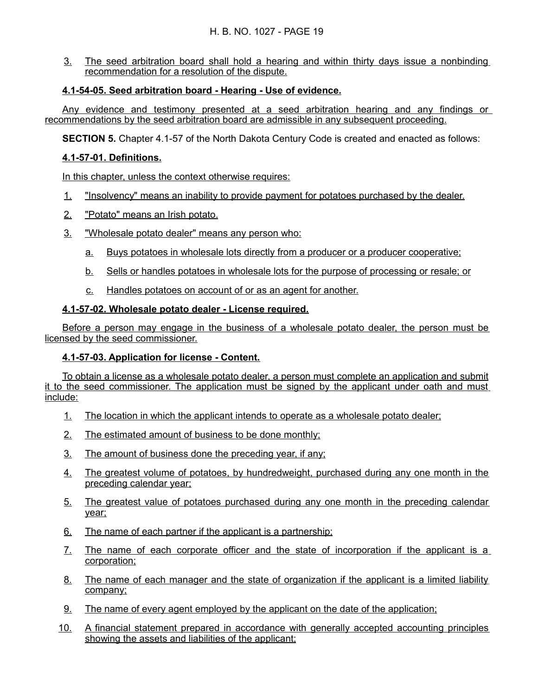3. The seed arbitration board shall hold a hearing and within thirty days issue a nonbinding recommendation for a resolution of the dispute.

## **4.1 - 54 - 05. Seed arbitration board - Hearing - Use of evidence.**

Any evidence and testimony presented at a seed arbitration hearing and any findings or recommendations by the seed arbitration board are admissible in any subsequent proceeding.

**SECTION 5.** Chapter 4.1-57 of the North Dakota Century Code is created and enacted as follows:

### **4.1 - 57 - 01. Definitions.**

In this chapter, unless the context otherwise requires:

- 1. "Insolvency" means an inability to provide payment for potatoes purchased by the dealer.
- 2. "Potato" means an Irish potato.
- 3. "Wholesale potato dealer" means any person who:
	- a. Buys potatoes in wholesale lots directly from a producer or a producer cooperative;
	- b. Sells or handles potatoes in wholesale lots for the purpose of processing or resale; or
	- c. Handles potatoes on account of or as an agent for another.

### **4.1-57-02. Wholesale potato dealer - License required.**

Before a person may engage in the business of a wholesale potato dealer, the person must be licensed by the seed commissioner.

### **4.1 - 57 - 03. Application for license - Content.**

To obtain a license as a wholesale potato dealer, a person must complete an application and submit it to the seed commissioner. The application must be signed by the applicant under oath and must include:

- 1. The location in which the applicant intends to operate as a wholesale potato dealer;
- 2. The estimated amount of business to be done monthly;
- 3. The amount of business done the preceding year, if any;
- 4. The greatest volume of potatoes, by hundredweight, purchased during any one month in the preceding calendar year;
- 5. The greatest value of potatoes purchased during any one month in the preceding calendar year;
- 6. The name of each partner if the applicant is a partnership;
- 7. The name of each corporate officer and the state of incorporation if the applicant is a corporation;
- 8. The name of each manager and the state of organization if the applicant is a limited liability company;
- 9. The name of every agent employed by the applicant on the date of the application;
- 10. A financial statement prepared in accordance with generally accepted accounting principles showing the assets and liabilities of the applicant;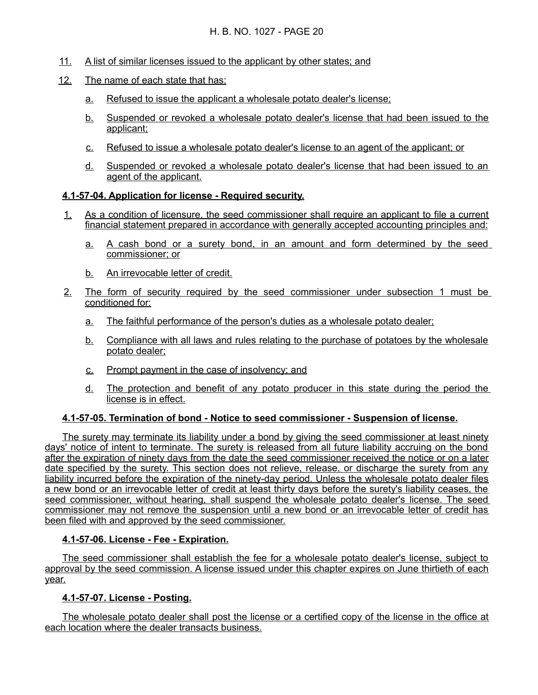- 11. A list of similar licenses issued to the applicant by other states; and
- 12. The name of each state that has:
	- a. Refused to issue the applicant a wholesale potato dealer's license;
	- b. Suspended or revoked a wholesale potato dealer's license that had been issued to the applicant;
	- c. Refused to issue a wholesale potato dealer's license to an agent of the applicant; or
	- d. Suspended or revoked a wholesale potato dealer's license that had been issued to an agent of the applicant.

## **4.1-57-04. Application for license - Required security.**

- 1. As a condition of licensure, the seed commissioner shall require an applicant to file a current financial statement prepared in accordance with generally accepted accounting principles and:
	- a. A cash bond or a surety bond, in an amount and form determined by the seed commissioner; or
	- b. An irrevocable letter of credit.
- 2. The form of security required by the seed commissioner under subsection 1 must be conditioned for:
	- a. The faithful performance of the person's duties as a wholesale potato dealer;
	- b. Compliance with all laws and rules relating to the purchase of potatoes by the wholesale potato dealer;
	- c. Prompt payment in the case of insolvency; and
	- d. The protection and benefit of any potato producer in this state during the period the license is in effect.

### **4.1 - 57 - 05. Termination of bond - Notice to seed commissioner - Suspension of license.**

The surety may terminate its liability under a bond by giving the seed commissioner at least ninety days' notice of intent to terminate. The surety is released from all future liability accruing on the bond after the expiration of ninety days from the date the seed commissioner received the notice or on a later date specified by the surety. This section does not relieve, release, or discharge the surety from any liability incurred before the expiration of the ninety-day period. Unless the wholesale potato dealer files a new bond or an irrevocable letter of credit at least thirty days before the surety's liability ceases, the seed commissioner, without hearing, shall suspend the wholesale potato dealer's license. The seed commissioner may not remove the suspension until a new bond or an irrevocable letter of credit has been filed with and approved by the seed commissioner.

### **4.1 - 57 - 06. License - Fee - Expiration.**

The seed commissioner shall establish the fee for a wholesale potato dealer's license, subject to approval by the seed commission. A license issued under this chapter expires on June thirtieth of each year.

### **4.1 - 57 - 07. License - Posting.**

The wholesale potato dealer shall post the license or a certified copy of the license in the office at each location where the dealer transacts business.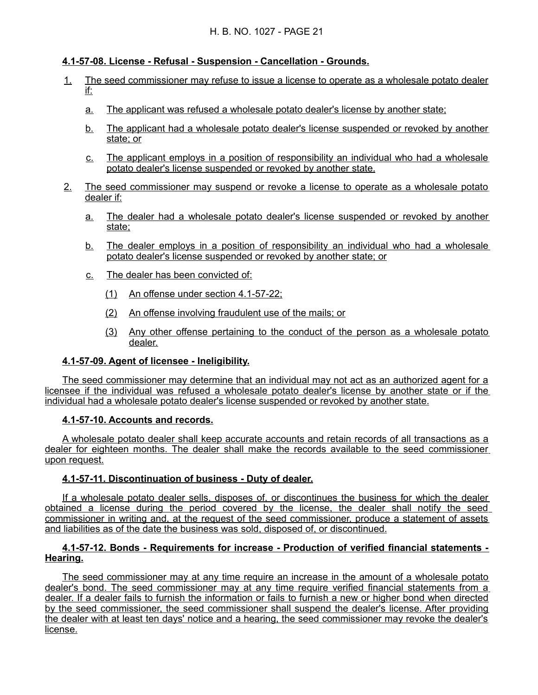## **4.1 - 57 - 08. License - Refusal - Suspension - Cancellation - Grounds.**

- 1. The seed commissioner may refuse to issue a license to operate as a wholesale potato dealer if:
	- a. The applicant was refused a wholesale potato dealer's license by another state;
	- b. The applicant had a wholesale potato dealer's license suspended or revoked by another state; or
	- c. The applicant employs in a position of responsibility an individual who had a wholesale potato dealer's license suspended or revoked by another state.
- 2. The seed commissioner may suspend or revoke a license to operate as a wholesale potato dealer if:
	- a. The dealer had a wholesale potato dealer's license suspended or revoked by another state;
	- b. The dealer employs in a position of responsibility an individual who had a wholesale potato dealer's license suspended or revoked by another state; or
	- c. The dealer has been convicted of:
		- $(1)$  An offense under section 4.1-57-22;
		- (2) An offense involving fraudulent use of the mails; or
		- (3) Any other offense pertaining to the conduct of the person as a wholesale potato dealer.

#### **4.1 - 57 - 09. Agent of licensee - Ineligibility.**

The seed commissioner may determine that an individual may not act as an authorized agent for a licensee if the individual was refused a wholesale potato dealer's license by another state or if the individual had a wholesale potato dealer's license suspended or revoked by another state.

### **4.1 - 57 - 10. Accounts and records.**

A wholesale potato dealer shall keep accurate accounts and retain records of all transactions as a dealer for eighteen months. The dealer shall make the records available to the seed commissioner upon request.

### **4.1 - 57 - 11. Discontinuation of business - Duty of dealer.**

If a wholesale potato dealer sells, disposes of, or discontinues the business for which the dealer obtained a license during the period covered by the license, the dealer shall notify the seed commissioner in writing and, at the request of the seed commissioner, produce a statement of assets and liabilities as of the date the business was sold, disposed of, or discontinued.

#### **4.1 - 57 - 12. Bonds - Requirements for increase - Production of verified financial statements - Hearing.**

The seed commissioner may at any time require an increase in the amount of a wholesale potato dealer's bond. The seed commissioner may at any time require verified financial statements from a dealer. If a dealer fails to furnish the information or fails to furnish a new or higher bond when directed by the seed commissioner, the seed commissioner shall suspend the dealer's license. After providing the dealer with at least ten days' notice and a hearing, the seed commissioner may revoke the dealer's license.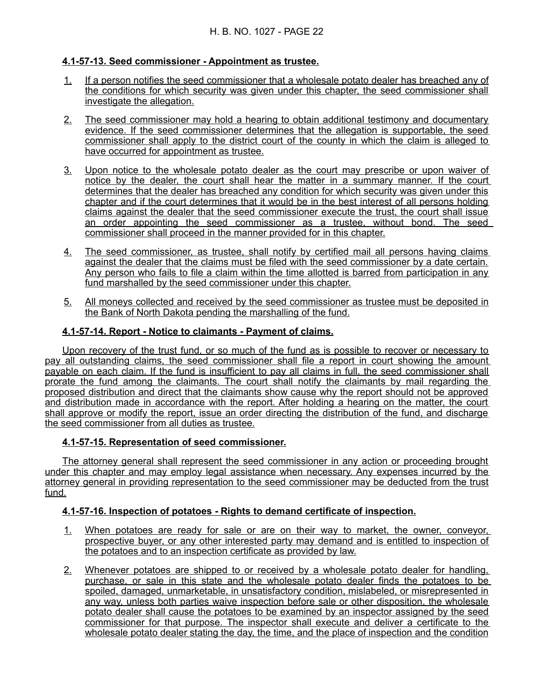## **4.1 - 57 - 13. Seed commissioner - Appointment as trustee.**

- 1. If a person notifies the seed commissioner that a wholesale potato dealer has breached any of the conditions for which security was given under this chapter, the seed commissioner shall investigate the allegation.
- 2. The seed commissioner may hold a hearing to obtain additional testimony and documentary evidence. If the seed commissioner determines that the allegation is supportable, the seed commissioner shall apply to the district court of the county in which the claim is alleged to have occurred for appointment as trustee.
- 3. Upon notice to the wholesale potato dealer as the court may prescribe or upon waiver of notice by the dealer, the court shall hear the matter in a summary manner. If the court determines that the dealer has breached any condition for which security was given under this chapter and if the court determines that it would be in the best interest of all persons holding claims against the dealer that the seed commissioner execute the trust, the court shall issue an order appointing the seed commissioner as a trustee, without bond. The seed commissioner shall proceed in the manner provided for in this chapter.
- 4. The seed commissioner, as trustee, shall notify by certified mail all persons having claims against the dealer that the claims must be filed with the seed commissioner by a date certain. Any person who fails to file a claim within the time allotted is barred from participation in any fund marshalled by the seed commissioner under this chapter.
- 5. All moneys collected and received by the seed commissioner as trustee must be deposited in the Bank of North Dakota pending the marshalling of the fund.

### **4.1-57-14. Report - Notice to claimants - Payment of claims.**

Upon recovery of the trust fund, or so much of the fund as is possible to recover or necessary to pay all outstanding claims, the seed commissioner shall file a report in court showing the amount payable on each claim. If the fund is insufficient to pay all claims in full, the seed commissioner shall prorate the fund among the claimants. The court shall notify the claimants by mail regarding the proposed distribution and direct that the claimants show cause why the report should not be approved and distribution made in accordance with the report. After holding a hearing on the matter, the court shall approve or modify the report, issue an order directing the distribution of the fund, and discharge the seed commissioner from all duties as trustee.

### **4.1 - 57 - 15. Representation of seed commissioner.**

The attorney general shall represent the seed commissioner in any action or proceeding brought under this chapter and may employ legal assistance when necessary. Any expenses incurred by the attorney general in providing representation to the seed commissioner may be deducted from the trust fund.

## **4.1 - 57 - 16. Inspection of potatoes - Rights to demand certificate of inspection.**

- 1. When potatoes are ready for sale or are on their way to market, the owner, conveyor, prospective buyer, or any other interested party may demand and is entitled to inspection of the potatoes and to an inspection certificate as provided by law.
- 2. Whenever potatoes are shipped to or received by a wholesale potato dealer for handling, purchase, or sale in this state and the wholesale potato dealer finds the potatoes to be spoiled, damaged, unmarketable, in unsatisfactory condition, mislabeled, or misrepresented in any way, unless both parties waive inspection before sale or other disposition, the wholesale potato dealer shall cause the potatoes to be examined by an inspector assigned by the seed commissioner for that purpose. The inspector shall execute and deliver a certificate to the wholesale potato dealer stating the day, the time, and the place of inspection and the condition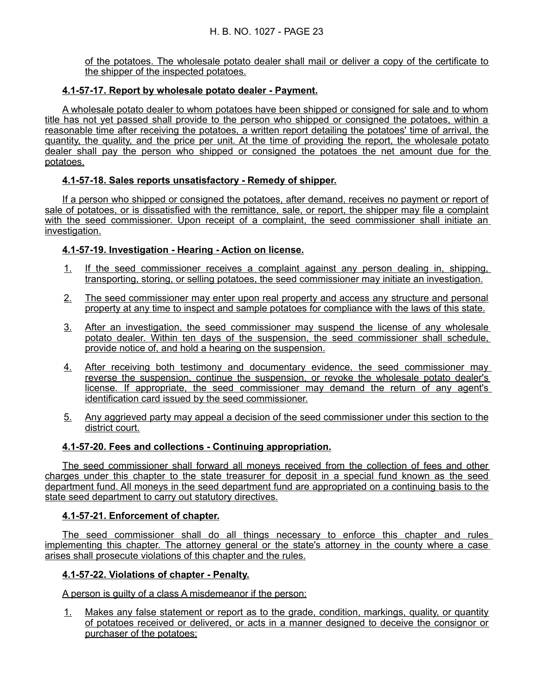of the potatoes. The wholesale potato dealer shall mail or deliver a copy of the certificate to the shipper of the inspected potatoes.

## **4.1-57-17. Report by wholesale potato dealer - Payment.**

A wholesale potato dealer to whom potatoes have been shipped or consigned for sale and to whom title has not yet passed shall provide to the person who shipped or consigned the potatoes, within a reasonable time after receiving the potatoes, a written report detailing the potatoes' time of arrival, the quantity, the quality, and the price per unit. At the time of providing the report, the wholesale potato dealer shall pay the person who shipped or consigned the potatoes the net amount due for the potatoes.

## **4.1 - 57 - 18. Sales reports unsatisfactory - Remedy of shipper.**

If a person who shipped or consigned the potatoes, after demand, receives no payment or report of sale of potatoes, or is dissatisfied with the remittance, sale, or report, the shipper may file a complaint with the seed commissioner. Upon receipt of a complaint, the seed commissioner shall initiate an investigation.

## **4.1 - 57 - 19. Investigation - Hearing - Action on license.**

- 1. If the seed commissioner receives a complaint against any person dealing in, shipping, transporting, storing, or selling potatoes, the seed commissioner may initiate an investigation.
- 2. The seed commissioner may enter upon real property and access any structure and personal property at any time to inspect and sample potatoes for compliance with the laws of this state.
- 3. After an investigation, the seed commissioner may suspend the license of any wholesale potato dealer. Within ten days of the suspension, the seed commissioner shall schedule, provide notice of, and hold a hearing on the suspension.
- 4. After receiving both testimony and documentary evidence, the seed commissioner may reverse the suspension, continue the suspension, or revoke the wholesale potato dealer's license. If appropriate, the seed commissioner may demand the return of any agent's identification card issued by the seed commissioner.
- 5. Any aggrieved party may appeal a decision of the seed commissioner under this section to the district court.

## **4.1-57-20. Fees and collections - Continuing appropriation.**

The seed commissioner shall forward all moneys received from the collection of fees and other charges under this chapter to the state treasurer for deposit in a special fund known as the seed department fund. All moneys in the seed department fund are appropriated on a continuing basis to the state seed department to carry out statutory directives.

### **4.1 - 57 - 21. Enforcement of chapter.**

The seed commissioner shall do all things necessary to enforce this chapter and rules implementing this chapter. The attorney general or the state's attorney in the county where a case arises shall prosecute violations of this chapter and the rules.

### **4.1 - 57 - 22. Violations of chapter - Penalty.**

A person is guilty of a class A misdemeanor if the person:

1. Makes any false statement or report as to the grade, condition, markings, quality, or quantity of potatoes received or delivered, or acts in a manner designed to deceive the consignor or purchaser of the potatoes;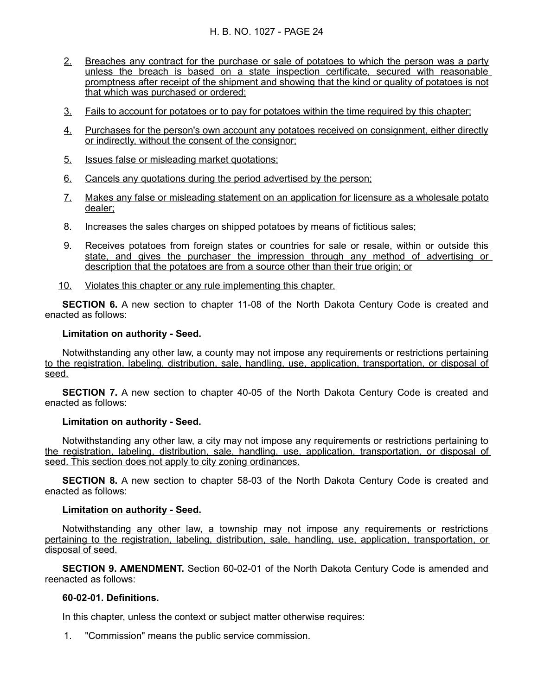### H. B. NO. 1027 - PAGE 24

- 2. Breaches any contract for the purchase or sale of potatoes to which the person was a party unless the breach is based on a state inspection certificate, secured with reasonable promptness after receipt of the shipment and showing that the kind or quality of potatoes is not that which was purchased or ordered;
- 3. Fails to account for potatoes or to pay for potatoes within the time required by this chapter;
- 4. Purchases for the person's own account any potatoes received on consignment, either directly or indirectly, without the consent of the consignor;
- 5. Issues false or misleading market quotations;
- 6. Cancels any quotations during the period advertised by the person;
- 7. Makes any false or misleading statement on an application for licensure as a wholesale potato dealer;
- 8. Increases the sales charges on shipped potatoes by means of fictitious sales;
- 9. Receives potatoes from foreign states or countries for sale or resale, within or outside this state, and gives the purchaser the impression through any method of advertising or description that the potatoes are from a source other than their true origin; or
- 10. Violates this chapter or any rule implementing this chapter.

**SECTION 6.** A new section to chapter 11-08 of the North Dakota Century Code is created and enacted as follows:

#### **Limitation on authority - Seed.**

Notwithstanding any other law, a county may not impose any requirements or restrictions pertaining to the registration, labeling, distribution, sale, handling, use, application, transportation, or disposal of seed.

**SECTION 7.** A new section to chapter 40-05 of the North Dakota Century Code is created and enacted as follows:

### **Limitation on authority - Seed.**

Notwithstanding any other law, a city may not impose any requirements or restrictions pertaining to the registration, labeling, distribution, sale, handling, use, application, transportation, or disposal of seed. This section does not apply to city zoning ordinances.

**SECTION 8.** A new section to chapter 58-03 of the North Dakota Century Code is created and enacted as follows:

#### **Limitation on authority - Seed.**

Notwithstanding any other law, a township may not impose any requirements or restrictions pertaining to the registration, labeling, distribution, sale, handling, use, application, transportation, or disposal of seed.

**SECTION 9. AMENDMENT.** Section 60-02-01 of the North Dakota Century Code is amended and reenacted as follows:

#### **60-02-01. Definitions.**

In this chapter, unless the context or subject matter otherwise requires:

1. "Commission" means the public service commission.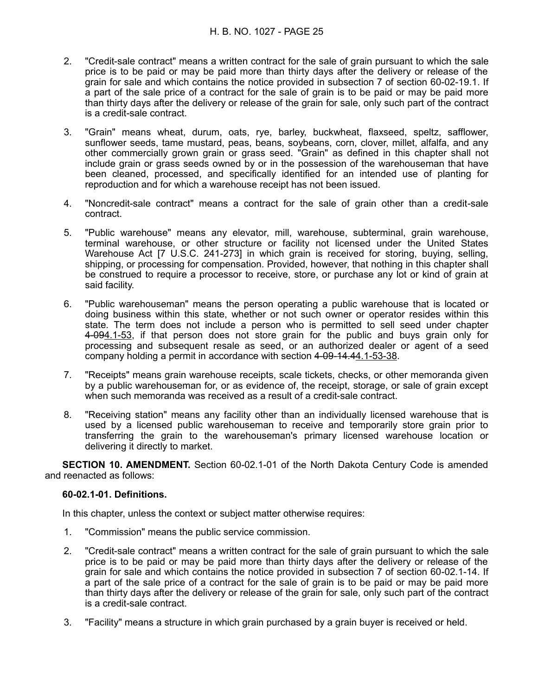### H. B. NO. 1027 - PAGE 25

- 2. "Credit-sale contract" means a written contract for the sale of grain pursuant to which the sale price is to be paid or may be paid more than thirty days after the delivery or release of the grain for sale and which contains the notice provided in subsection 7 of section 60-02-19.1. If a part of the sale price of a contract for the sale of grain is to be paid or may be paid more than thirty days after the delivery or release of the grain for sale, only such part of the contract is a credit-sale contract.
- 3. "Grain" means wheat, durum, oats, rye, barley, buckwheat, flaxseed, speltz, safflower, sunflower seeds, tame mustard, peas, beans, soybeans, corn, clover, millet, alfalfa, and any other commercially grown grain or grass seed. "Grain" as defined in this chapter shall not include grain or grass seeds owned by or in the possession of the warehouseman that have been cleaned, processed, and specifically identified for an intended use of planting for reproduction and for which a warehouse receipt has not been issued.
- 4. "Noncredit-sale contract" means a contract for the sale of grain other than a credit-sale contract.
- 5. "Public warehouse" means any elevator, mill, warehouse, subterminal, grain warehouse, terminal warehouse, or other structure or facility not licensed under the United States Warehouse Act [7 U.S.C. 241-273] in which grain is received for storing, buying, selling, shipping, or processing for compensation. Provided, however, that nothing in this chapter shall be construed to require a processor to receive, store, or purchase any lot or kind of grain at said facility.
- 6. "Public warehouseman" means the person operating a public warehouse that is located or doing business within this state, whether or not such owner or operator resides within this state. The term does not include a person who is permitted to sell seed under chapter 4-094.1-53, if that person does not store grain for the public and buys grain only for processing and subsequent resale as seed, or an authorized dealer or agent of a seed company holding a permit in accordance with section 4-09-14.44.1-53-38.
- 7. "Receipts" means grain warehouse receipts, scale tickets, checks, or other memoranda given by a public warehouseman for, or as evidence of, the receipt, storage, or sale of grain except when such memoranda was received as a result of a credit-sale contract.
- 8. "Receiving station" means any facility other than an individually licensed warehouse that is used by a licensed public warehouseman to receive and temporarily store grain prior to transferring the grain to the warehouseman's primary licensed warehouse location or delivering it directly to market.

**SECTION 10. AMENDMENT.** Section 60-02.1-01 of the North Dakota Century Code is amended and reenacted as follows:

#### **60-02.1-01. Definitions.**

In this chapter, unless the context or subject matter otherwise requires:

- 1. "Commission" means the public service commission.
- 2. "Credit-sale contract" means a written contract for the sale of grain pursuant to which the sale price is to be paid or may be paid more than thirty days after the delivery or release of the grain for sale and which contains the notice provided in subsection 7 of section 60-02.1-14. If a part of the sale price of a contract for the sale of grain is to be paid or may be paid more than thirty days after the delivery or release of the grain for sale, only such part of the contract is a credit-sale contract.
- 3. "Facility" means a structure in which grain purchased by a grain buyer is received or held.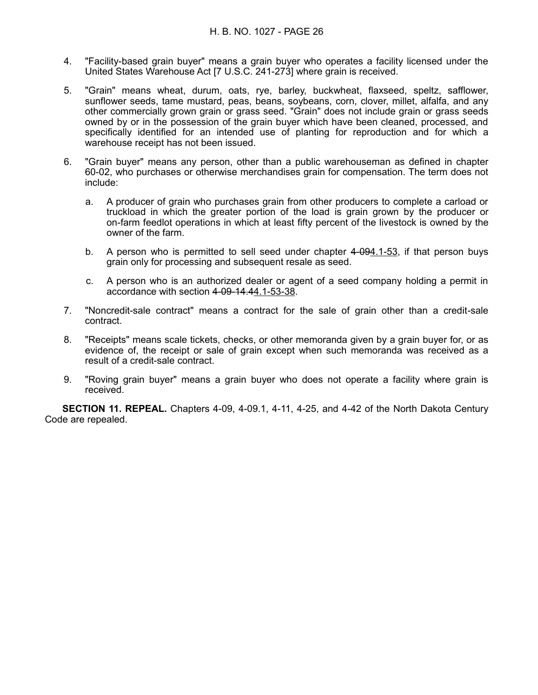- 4. "Facility-based grain buyer" means a grain buyer who operates a facility licensed under the United States Warehouse Act [7 U.S.C. 241-273] where grain is received.
- 5. "Grain" means wheat, durum, oats, rye, barley, buckwheat, flaxseed, speltz, safflower, sunflower seeds, tame mustard, peas, beans, soybeans, corn, clover, millet, alfalfa, and any other commercially grown grain or grass seed. "Grain" does not include grain or grass seeds owned by or in the possession of the grain buyer which have been cleaned, processed, and specifically identified for an intended use of planting for reproduction and for which a warehouse receipt has not been issued.
- 6. "Grain buyer" means any person, other than a public warehouseman as defined in chapter 60-02, who purchases or otherwise merchandises grain for compensation. The term does not include:
	- a. A producer of grain who purchases grain from other producers to complete a carload or truckload in which the greater portion of the load is grain grown by the producer or on-farm feedlot operations in which at least fifty percent of the livestock is owned by the owner of the farm.
	- b. A person who is permitted to sell seed under chapter 4-094.1-53, if that person buys grain only for processing and subsequent resale as seed.
	- c. A person who is an authorized dealer or agent of a seed company holding a permit in accordance with section  $4-09-14.44.1-53-38$ .
- 7. "Noncredit-sale contract" means a contract for the sale of grain other than a credit-sale contract.
- 8. "Receipts" means scale tickets, checks, or other memoranda given by a grain buyer for, or as evidence of, the receipt or sale of grain except when such memoranda was received as a result of a credit-sale contract.
- 9. "Roving grain buyer" means a grain buyer who does not operate a facility where grain is received.

**SECTION 11. REPEAL.** Chapters 4-09, 4-09.1, 4-11, 4-25, and 4-42 of the North Dakota Century Code are repealed.